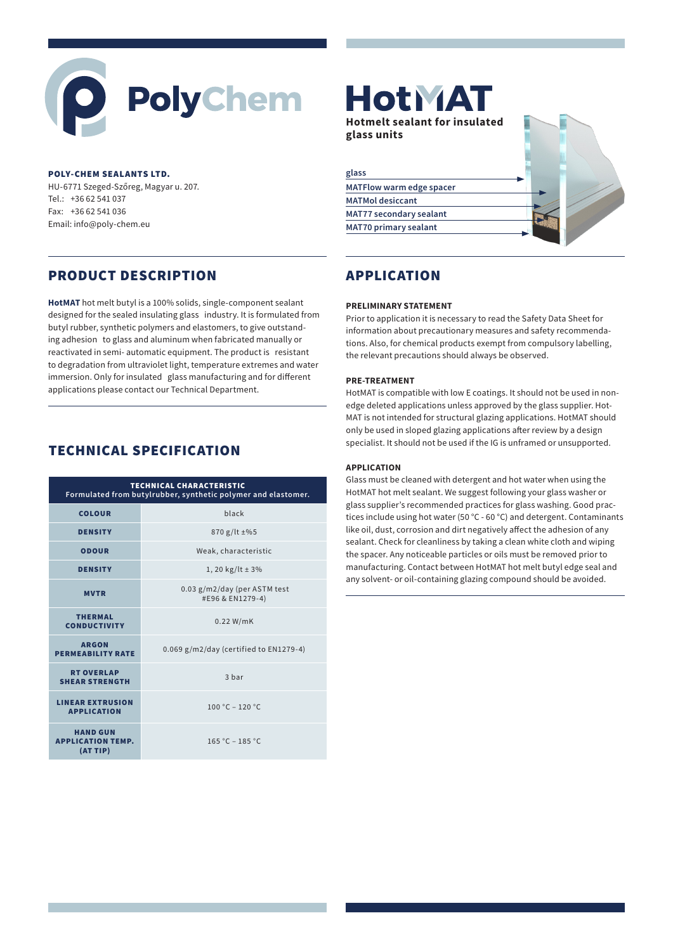# **PolyChem**

#### POLY-CHEM SEALANTS LTD.

HU-6771 Szeged-Szőreg, Magyar u. 207. Tel.: +36 62 541 037 Fax: +36 62 541 036 Email: info@poly-chem.eu

## PRODUCT DESCRIPTION

**HotMAT** hot melt butyl is a 100% solids, single-component sealant designed for the sealed insulating glass industry. It is formulated from butyl rubber, synthetic polymers and elastomers, to give outstanding adhesion to glass and aluminum when fabricated manually or reactivated in semi- automatic equipment. The product is resistant to degradation from ultraviolet light, temperature extremes and water immersion. Only for insulated glass manufacturing and for different applications please contact our Technical Department.

## TECHNICAL SPECIFICATION

| <b>TECHNICAL CHARACTERISTIC</b><br>Formulated from butylrubber, synthetic polymer and elastomer. |                                                  |
|--------------------------------------------------------------------------------------------------|--------------------------------------------------|
| <b>COLOUR</b>                                                                                    | black                                            |
| <b>DENSITY</b>                                                                                   | $870$ g/lt $\pm$ %5                              |
| <b>ODOUR</b>                                                                                     | Weak, characteristic                             |
| <b>DENSITY</b>                                                                                   | 1, 20 kg/lt $\pm$ 3%                             |
| <b>MVTR</b>                                                                                      | 0.03 g/m2/day (per ASTM test<br>#E96 & EN1279-4) |
| <b>THERMAL</b><br><b>CONDUCTIVITY</b>                                                            | $0.22$ W/mK                                      |
| <b>ARGON</b><br><b>PERMEABILITY RATE</b>                                                         | $0.069$ g/m2/day (certified to EN1279-4)         |
| <b>RT OVERLAP</b><br><b>SHEAR STRENGTH</b>                                                       | 3 har                                            |
| <b>LINEAR EXTRUSION</b><br><b>APPLICATION</b>                                                    | $100 °C - 120 °C$                                |
| <b>HAND GUN</b><br><b>APPLICATION TEMP.</b><br>(AT TIP)                                          | $165 °C - 185 °C$                                |

# **HotMAT Hotmelt sealant for insulated glass units glassMATFlow warm edge spacer MATMol desiccant MAT77 secondary sealant MAT70 primary sealant**

# APPLICATION

#### **PRELIMINARY STATEMENT**

Prior to application it is necessary to read the Safety Data Sheet for information about precautionary measures and safety recommendations. Also, for chemical products exempt from compulsory labelling, the relevant precautions should always be observed.

#### **PRE-TREATMENT**

HotMAT is compatible with low E coatings. It should not be used in nonedge deleted applications unless approved by the glass supplier. Hot-MAT is not intended for structural glazing applications. HotMAT should only be used in sloped glazing applications after review by a design specialist. It should not be used if the IG is unframed or unsupported.

#### **APPLICATION**

Glass must be cleaned with detergent and hot water when using the HotMAT hot melt sealant. We suggest following your glass washer or glass supplier's recommended practices for glass washing. Good practices include using hot water (50 °C - 60 °C) and detergent. Contaminants like oil, dust, corrosion and dirt negatively affect the adhesion of any sealant. Check for cleanliness by taking a clean white cloth and wiping the spacer. Any noticeable particles or oils must be removed prior to manufacturing. Contact between HotMAT hot melt butyl edge seal and any solvent- or oil-containing glazing compound should be avoided.